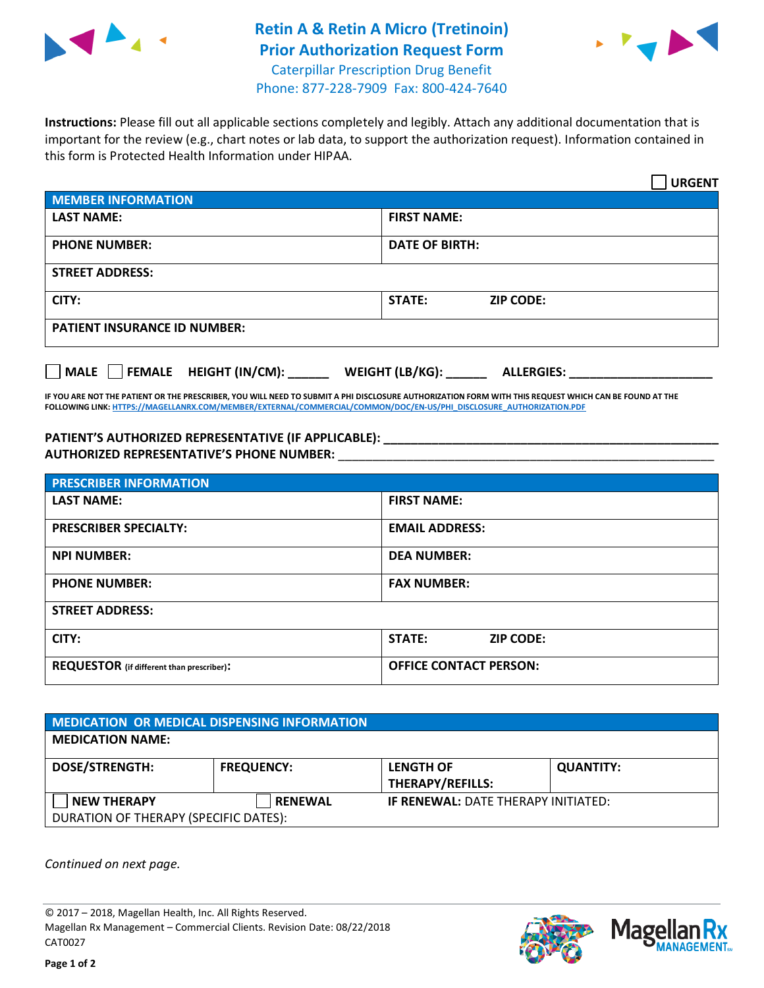

## **Retin A & Retin A Micro (Tretinoin) Prior Authorization Request Form** Caterpillar Prescription Drug Benefit



Phone: 877-228-7909 Fax: 800-424-7640

**Instructions:** Please fill out all applicable sections completely and legibly. Attach any additional documentation that is important for the review (e.g., chart notes or lab data, to support the authorization request). Information contained in this form is Protected Health Information under HIPAA.

|                                     | <b>URGENT</b>                        |  |  |  |
|-------------------------------------|--------------------------------------|--|--|--|
| <b>MEMBER INFORMATION</b>           |                                      |  |  |  |
| <b>LAST NAME:</b>                   | <b>FIRST NAME:</b>                   |  |  |  |
| <b>PHONE NUMBER:</b>                | <b>DATE OF BIRTH:</b>                |  |  |  |
| <b>STREET ADDRESS:</b>              |                                      |  |  |  |
| CITY:                               | <b>ZIP CODE:</b><br>STATE:           |  |  |  |
| <b>PATIENT INSURANCE ID NUMBER:</b> |                                      |  |  |  |
| FEMALE HEIGHT (IN/CM):<br>    MALE  | WEIGHT (LB/KG):<br><b>ALLERGIES:</b> |  |  |  |

**IF YOU ARE NOT THE PATIENT OR THE PRESCRIBER, YOU WILL NEED TO SUBMIT A PHI DISCLOSURE AUTHORIZATION FORM WITH THIS REQUEST WHICH CAN BE FOUND AT THE FOLLOWING LINK[: HTTPS://MAGELLANRX.COM/MEMBER/EXTERNAL/COMMERCIAL/COMMON/DOC/EN-US/PHI\\_DISCLOSURE\\_AUTHORIZATION.PDF](https://magellanrx.com/member/external/commercial/common/doc/en-us/PHI_Disclosure_Authorization.pdf)**

PATIENT'S AUTHORIZED REPRESENTATIVE (IF APPLICABLE): **AUTHORIZED REPRESENTATIVE'S PHONE NUMBER:** \_\_\_\_\_\_\_\_\_\_\_\_\_\_\_\_\_\_\_\_\_\_\_\_\_\_\_\_\_\_\_\_\_\_\_\_\_\_\_\_\_\_\_\_\_\_\_\_\_\_\_\_\_\_\_

| <b>PRESCRIBER INFORMATION</b>             |                                   |  |  |
|-------------------------------------------|-----------------------------------|--|--|
| <b>LAST NAME:</b>                         | <b>FIRST NAME:</b>                |  |  |
| <b>PRESCRIBER SPECIALTY:</b>              | <b>EMAIL ADDRESS:</b>             |  |  |
| <b>NPI NUMBER:</b>                        | <b>DEA NUMBER:</b>                |  |  |
| <b>PHONE NUMBER:</b>                      | <b>FAX NUMBER:</b>                |  |  |
| <b>STREET ADDRESS:</b>                    |                                   |  |  |
| CITY:                                     | <b>STATE:</b><br><b>ZIP CODE:</b> |  |  |
| REQUESTOR (if different than prescriber): | <b>OFFICE CONTACT PERSON:</b>     |  |  |

| <b>MEDICATION OR MEDICAL DISPENSING INFORMATION</b>         |                   |                                             |                  |  |  |
|-------------------------------------------------------------|-------------------|---------------------------------------------|------------------|--|--|
| <b>MEDICATION NAME:</b>                                     |                   |                                             |                  |  |  |
| <b>DOSE/STRENGTH:</b>                                       | <b>FREQUENCY:</b> | <b>LENGTH OF</b><br><b>THERAPY/REFILLS:</b> | <b>QUANTITY:</b> |  |  |
| <b>NEW THERAPY</b><br>DURATION OF THERAPY (SPECIFIC DATES): | <b>RENEWAL</b>    | <b>IF RENEWAL: DATE THERAPY INITIATED:</b>  |                  |  |  |

*Continued on next page.*

© 2017 – 2018, Magellan Health, Inc. All Rights Reserved. Magellan Rx Management – Commercial Clients. Revision Date: 08/22/2018 CAT0027